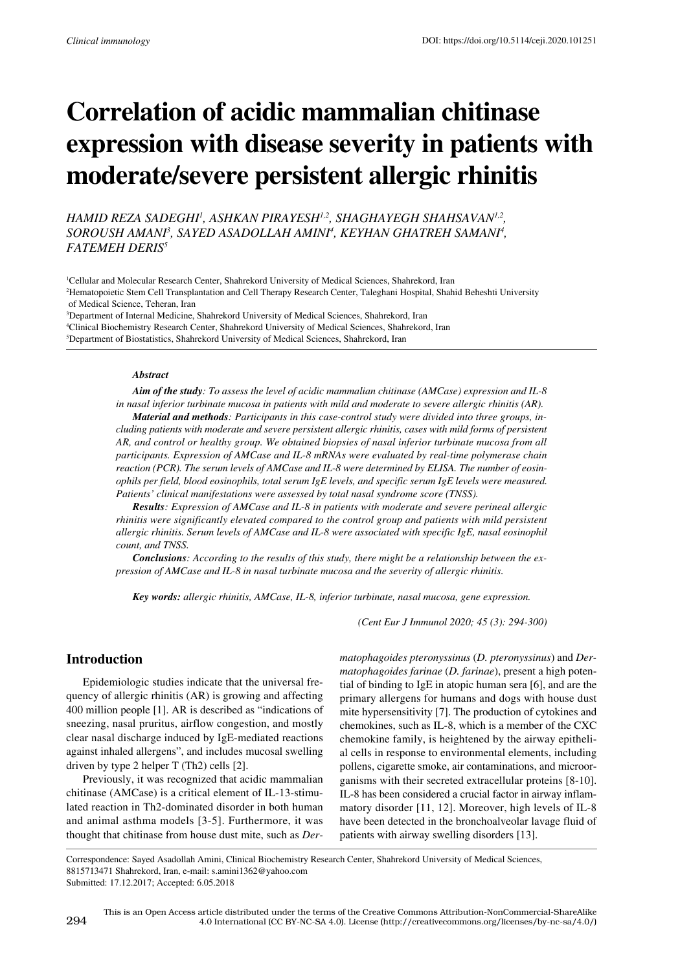# **Correlation of acidic mammalian chitinase expression with disease severity in patients with moderate/severe persistent allergic rhinitis**

*HAMID REZA SADEGHI1 , ASHKAN PIRAYESH1,2, SHAGHAYEGH SHAHSAVAN1,2, SOROUSH AMANI3 , SAYED ASADOLLAH AMINI4 , KEYHAN GHATREH SAMANI4 , FATEMEH DERIS5* 

1 Cellular and Molecular Research Center, Shahrekord University of Medical Sciences, Shahrekord, Iran 2 Hematopoietic Stem Cell Transplantation and Cell Therapy Research Center, Taleghani Hospital, Shahid Beheshti University of Medical Science, Teheran, Iran

3 Department of Internal Medicine, Shahrekord University of Medical Sciences, Shahrekord, Iran 4 Clinical Biochemistry Research Center, Shahrekord University of Medical Sciences, Shahrekord, Iran

5 Department of Biostatistics, Shahrekord University of Medical Sciences, Shahrekord, Iran

## *Abstract*

*Aim of the study: To assess the level of acidic mammalian chitinase (AMCase) expression and IL-8 in nasal inferior turbinate mucosa in patients with mild and moderate to severe allergic rhinitis (AR).* 

*Material and methods: Participants in this case-control study were divided into three groups, including patients with moderate and severe persistent allergic rhinitis, cases with mild forms of persistent AR, and control or healthy group. We obtained biopsies of nasal inferior turbinate mucosa from all participants. Expression of AMCase and IL-8 mRNAs were evaluated by real-time polymerase chain reaction (PCR). The serum levels of AMCase and IL-8 were determined by ELISA. The number of eosinophils per field, blood eosinophils, total serum IgE levels, and specific serum IgE levels were measured. Patients' clinical manifestations were assessed by total nasal syndrome score (TNSS).* 

*Results: Expression of AMCase and IL-8 in patients with moderate and severe perineal allergic rhinitis were significantly elevated compared to the control group and patients with mild persistent allergic rhinitis. Serum levels of AMCase and IL-8 were associated with specific IgE, nasal eosinophil count, and TNSS.* 

*Conclusions: According to the results of this study, there might be a relationship between the expression of AMCase and IL-8 in nasal turbinate mucosa and the severity of allergic rhinitis.* 

*Key words: allergic rhinitis, AMCase, IL-8, inferior turbinate, nasal mucosa, gene expression.* 

*(Cent Eur J Immunol 2020; 45 (3): 294-300)*

## **Introduction**

Epidemiologic studies indicate that the universal frequency of allergic rhinitis (AR) is growing and affecting 400 million people [1]. AR is described as "indications of sneezing, nasal pruritus, airflow congestion, and mostly clear nasal discharge induced by IgE-mediated reactions against inhaled allergens", and includes mucosal swelling driven by type 2 helper T (Th2) cells [2].

Previously, it was recognized that acidic mammalian chitinase (AMCase) is a critical element of IL-13-stimulated reaction in Th2-dominated disorder in both human and animal asthma models [3-5]. Furthermore, it was thought that chitinase from house dust mite, such as *Der-* *matophagoides pteronyssinus* (*D. pteronyssinus*) and *Dermatophagoides farinae* (*D. farinae*), present a high potential of binding to IgE in atopic human sera [6], and are the primary allergens for humans and dogs with house dust mite hypersensitivity [7]. The production of cytokines and chemokines, such as IL-8, which is a member of the CXC chemokine family, is heightened by the airway epithelial cells in response to environmental elements, including pollens, cigarette smoke, air contaminations, and microorganisms with their secreted extracellular proteins [8-10]. IL-8 has been considered a crucial factor in airway inflammatory disorder [11, 12]. Moreover, high levels of IL-8 have been detected in the bronchoalveolar lavage fluid of patients with airway swelling disorders [13].

Correspondence: Sayed Asadollah Amini, Clinical Biochemistry Research Center, Shahrekord University of Medical Sciences, 8815713471 Shahrekord, Iran, e-mail: s.amini1362@yahoo.com Submitted: 17.12.2017; Accepted: 6.05.2018

This is an Open Access article distributed under the terms of the Creative Commons Attribution-NonCommercial-ShareAlike 294 4.0 International (CC BY-NC-SA 4.0). License (http://creativecommons.org/licenses/by-nc-sa/4.0/)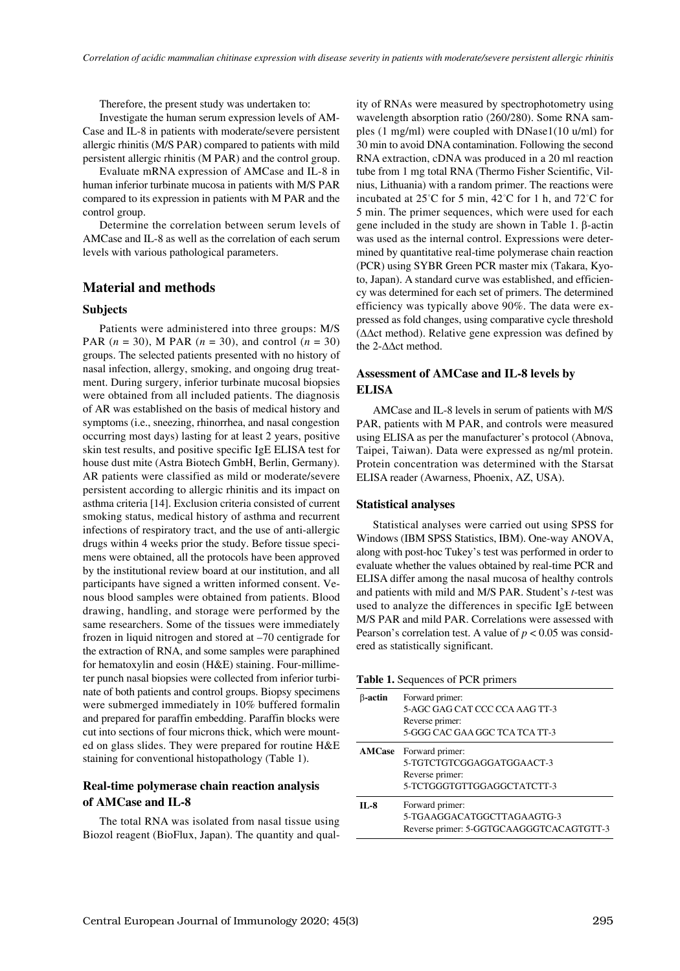Therefore, the present study was undertaken to:

Investigate the human serum expression levels of AM-Case and IL-8 in patients with moderate/severe persistent allergic rhinitis (M/S PAR) compared to patients with mild persistent allergic rhinitis (M PAR) and the control group.

Evaluate mRNA expression of AMCase and IL-8 in human inferior turbinate mucosa in patients with M/S PAR compared to its expression in patients with M PAR and the control group.

Determine the correlation between serum levels of AMCase and IL-8 as well as the correlation of each serum levels with various pathological parameters.

## **Material and methods**

#### **Subjects**

Patients were administered into three groups: M/S PAR (*n* = 30), M PAR (*n* = 30), and control (*n* = 30) groups. The selected patients presented with no history of nasal infection, allergy, smoking, and ongoing drug treatment. During surgery, inferior turbinate mucosal biopsies were obtained from all included patients. The diagnosis of AR was established on the basis of medical history and symptoms (i.e., sneezing, rhinorrhea, and nasal congestion occurring most days) lasting for at least 2 years, positive skin test results, and positive specific IgE ELISA test for house dust mite (Astra Biotech GmbH, Berlin, Germany). AR patients were classified as mild or moderate/severe persistent according to allergic rhinitis and its impact on asthma criteria [14]. Exclusion criteria consisted of current smoking status, medical history of asthma and recurrent infections of respiratory tract, and the use of anti-allergic drugs within 4 weeks prior the study. Before tissue specimens were obtained, all the protocols have been approved by the institutional review board at our institution, and all participants have signed a written informed consent. Venous blood samples were obtained from patients. Blood drawing, handling, and storage were performed by the same researchers. Some of the tissues were immediately frozen in liquid nitrogen and stored at –70 centigrade for the extraction of RNA, and some samples were paraphined for hematoxylin and eosin (H&E) staining. Four-millimeter punch nasal biopsies were collected from inferior turbinate of both patients and control groups. Biopsy specimens were submerged immediately in 10% buffered formalin and prepared for paraffin embedding. Paraffin blocks were cut into sections of four microns thick, which were mounted on glass slides. They were prepared for routine H&E staining for conventional histopathology (Table 1).

## **Real-time polymerase chain reaction analysis of AMCase and IL-8**

The total RNA was isolated from nasal tissue using Biozol reagent (BioFlux, Japan). The quantity and quality of RNAs were measured by spectrophotometry using wavelength absorption ratio (260/280). Some RNA samples (1 mg/ml) were coupled with DNase1(10 u/ml) for 30 min to avoid DNA contamination. Following the second RNA extraction, cDNA was produced in a 20 ml reaction tube from 1 mg total RNA (Thermo Fisher Scientific, Vilnius, Lithuania) with a random primer. The reactions were incubated at 25°C for 5 min, 42°C for 1 h, and 72°C for 5 min. The primer sequences, which were used for each gene included in the study are shown in Table 1. β-actin was used as the internal control. Expressions were determined by quantitative real-time polymerase chain reaction (PCR) using SYBR Green PCR master mix (Takara, Kyoto, Japan). A standard curve was established, and efficiency was determined for each set of primers. The determined efficiency was typically above 90%. The data were expressed as fold changes, using comparative cycle threshold (ΔΔct method). Relative gene expression was defined by the 2-ΔΔct method.

## **Assessment of AMCase and IL-8 levels by ELISA**

AMCase and IL-8 levels in serum of patients with M/S PAR, patients with M PAR, and controls were measured using ELISA as per the manufacturer's protocol (Abnova, Taipei, Taiwan). Data were expressed as ng/ml protein. Protein concentration was determined with the Starsat ELISA reader (Awarness, Phoenix, AZ, USA).

#### **Statistical analyses**

Statistical analyses were carried out using SPSS for Windows (IBM SPSS Statistics, IBM). One-way ANOVA, along with post-hoc Tukey's test was performed in order to evaluate whether the values obtained by real-time PCR and ELISA differ among the nasal mucosa of healthy controls and patients with mild and M/S PAR. Student's *t*-test was used to analyze the differences in specific IgE between M/S PAR and mild PAR. Correlations were assessed with Pearson's correlation test. A value of *p* < 0.05 was considered as statistically significant.

**Table 1.** Sequences of PCR primers

| $\beta$ -actin | Forward primer:<br>5-AGC GAG CAT CCC CCA AAG TT-3<br>Reverse primer:<br>5-GGG CAC GAA GGC TCA TCA TT-3      |
|----------------|-------------------------------------------------------------------------------------------------------------|
|                | <b>AMCase</b> Forward primer:<br>5-TGTCTGTCGGAGGATGGAACT-3<br>Reverse primer:<br>5-TCTGGGTGTTGGAGGCTATCTT-3 |
| $II - 8$       | Forward primer:<br>5-TGAAGGACATGGCTTAGAAGTG-3<br>Reverse primer: 5-GGTGCAAGGGTCACAGTGTT-3                   |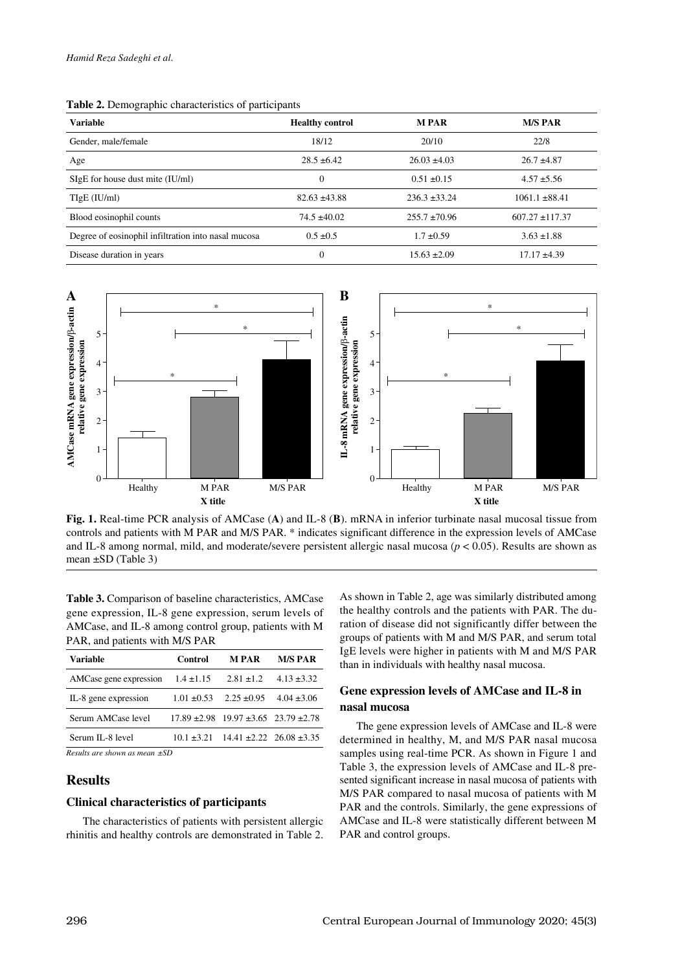| <b>Variable</b>                                     | <b>Healthy control</b> | <b>MPAR</b>       | <b>M/S PAR</b>      |
|-----------------------------------------------------|------------------------|-------------------|---------------------|
| Gender, male/female                                 | 18/12                  | 20/10             | 22/8                |
| Age                                                 | $28.5 \pm 6.42$        | $26.03 \pm 4.03$  | $26.7 + 4.87$       |
| SIgE for house dust mite (IU/ml)                    | $\Omega$               | $0.51 \pm 0.15$   | $4.57 + 5.56$       |
| $TlgE$ (IU/ml)                                      | $82.63 + 43.88$        | $236.3 + 33.24$   | $1061.1 \pm 88.41$  |
| Blood eosinophil counts                             | $74.5 \pm 40.02$       | $255.7 \pm 70.96$ | $607.27 \pm 117.37$ |
| Degree of eosinophil infiltration into nasal mucosa | $0.5 \pm 0.5$          | $1.7 \pm 0.59$    | $3.63 \pm 1.88$     |
| Disease duration in years                           | $\Omega$               | $15.63 \pm 2.09$  | $17.17 \pm 4.39$    |

|  | <b>Table 2.</b> Demographic characteristics of participants |  |
|--|-------------------------------------------------------------|--|
|  |                                                             |  |



**Fig. 1.** Real-time PCR analysis of AMCase (**A**) and IL-8 (**B**). mRNA in inferior turbinate nasal mucosal tissue from controls and patients with M PAR and M/S PAR. \* indicates significant difference in the expression levels of AMCase and IL-8 among normal, mild, and moderate/severe persistent allergic nasal mucosa ( $p < 0.05$ ). Results are shown as

**Table 3.** Comparison of baseline characteristics, AMCase gene expression, IL-8 gene expression, serum levels of AMCase, and IL-8 among control group, patients with M PAR, and patients with M/S PAR

| <b>Variable</b>                       | <b>Control</b> | <b>MPAR</b>                                        | <b>M/S PAR</b>  |
|---------------------------------------|----------------|----------------------------------------------------|-----------------|
| AMCase gene expression $1.4 \pm 1.15$ |                | $2.81 \pm 1.2$                                     | $4.13 \pm 3.32$ |
| IL-8 gene expression                  |                | $1.01 \pm 0.53$ $2.25 \pm 0.95$ $4.04 \pm 3.06$    |                 |
| Serum AMCase level                    |                | $17.89 \pm 2.98$ 19.97 $\pm 3.65$ 23.79 $\pm 2.78$ |                 |
| Serum IL-8 level                      |                | $10.1 \pm 3.21$ $14.41 \pm 2.22$ $26.08 \pm 3.35$  |                 |

*Results are shown as mean ±SD*

## **Results**

#### **Clinical characteristics of participants**

The characteristics of patients with persistent allergic rhinitis and healthy controls are demonstrated in Table 2. As shown in Table 2, age was similarly distributed among the healthy controls and the patients with PAR. The duration of disease did not significantly differ between the groups of patients with M and M/S PAR, and serum total IgE levels were higher in patients with M and M/S PAR than in individuals with healthy nasal mucosa.

# **Gene expression levels of AMCase and IL-8 in nasal mucosa**

The gene expression levels of AMCase and IL-8 were determined in healthy, M, and M/S PAR nasal mucosa samples using real-time PCR. As shown in Figure 1 and Table 3, the expression levels of AMCase and IL-8 presented significant increase in nasal mucosa of patients with M/S PAR compared to nasal mucosa of patients with M PAR and the controls. Similarly, the gene expressions of AMCase and IL-8 were statistically different between M PAR and control groups.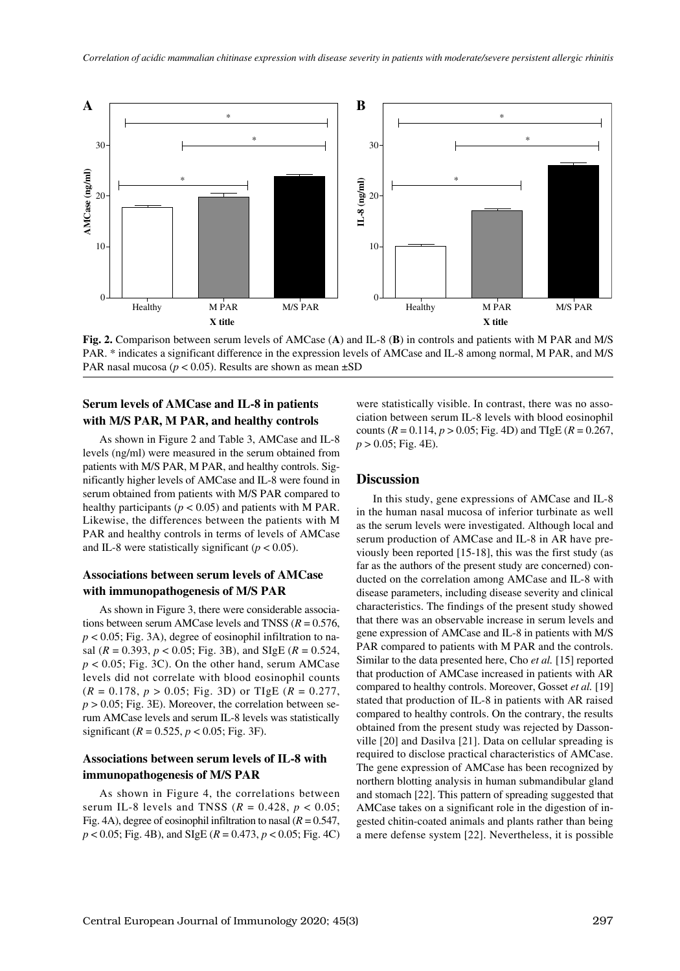

**Fig. 2.** Comparison between serum levels of AMCase (**A**) and IL-8 (**B**) in controls and patients with M PAR and M/S PAR. \* indicates a significant difference in the expression levels of AMCase and IL-8 among normal, M PAR, and M/S

# **Serum levels of AMCase and IL-8 in patients with M/S PAR, M PAR, and healthy controls**

As shown in Figure 2 and Table 3, AMCase and IL-8 levels (ng/ml) were measured in the serum obtained from patients with M/S PAR, M PAR, and healthy controls. Significantly higher levels of AMCase and IL-8 were found in serum obtained from patients with M/S PAR compared to healthy participants (*p* < 0.05) and patients with M PAR. Likewise, the differences between the patients with M PAR and healthy controls in terms of levels of AMCase and IL-8 were statistically significant  $(p < 0.05)$ .

# **Associations between serum levels of AMCase with immunopathogenesis of M/S PAR**

As shown in Figure 3, there were considerable associations between serum AMCase levels and TNSS (*R* = 0.576, *p* < 0.05; Fig. 3A), degree of eosinophil infiltration to nasal  $(R = 0.393, p < 0.05$ ; Fig. 3B), and SIgE  $(R = 0.524,$  $p < 0.05$ ; Fig. 3C). On the other hand, serum AMCase levels did not correlate with blood eosinophil counts  $(R = 0.178, p > 0.05;$  Fig. 3D) or TIgE  $(R = 0.277,$  $p > 0.05$ ; Fig. 3E). Moreover, the correlation between serum AMCase levels and serum IL-8 levels was statistically significant ( $R = 0.525$ ,  $p < 0.05$ ; Fig. 3F).

# **Associations between serum levels of IL-8 with immunopathogenesis of M/S PAR**

As shown in Figure 4, the correlations between serum IL-8 levels and TNSS ( $R = 0.428$ ,  $p < 0.05$ ; Fig. 4A), degree of eosinophil infiltration to nasal  $(R = 0.547)$ , *p* < 0.05; Fig. 4B), and SIgE (*R* = 0.473, *p* < 0.05; Fig. 4C)

were statistically visible. In contrast, there was no association between serum IL-8 levels with blood eosinophil counts  $(R = 0.114, p > 0.05; Fig. 4D)$  and TIgE  $(R = 0.267,$ *p* > 0.05; Fig. 4E).

## **Discussion**

In this study, gene expressions of AMCase and IL-8 in the human nasal mucosa of inferior turbinate as well as the serum levels were investigated. Although local and serum production of AMCase and IL-8 in AR have previously been reported [15-18], this was the first study (as far as the authors of the present study are concerned) conducted on the correlation among AMCase and IL-8 with disease parameters, including disease severity and clinical characteristics. The findings of the present study showed that there was an observable increase in serum levels and gene expression of AMCase and IL-8 in patients with M/S PAR compared to patients with M PAR and the controls. Similar to the data presented here, Cho *et al.* [15] reported that production of AMCase increased in patients with AR compared to healthy controls. Moreover, Gosset *et al.* [19] stated that production of IL-8 in patients with AR raised compared to healthy controls. On the contrary, the results obtained from the present study was rejected by Dassonville [20] and Dasilva [21]. Data on cellular spreading is required to disclose practical characteristics of AMCase. The gene expression of AMCase has been recognized by northern blotting analysis in human submandibular gland and stomach [22]. This pattern of spreading suggested that AMCase takes on a significant role in the digestion of ingested chitin-coated animals and plants rather than being a mere defense system [22]. Nevertheless, it is possible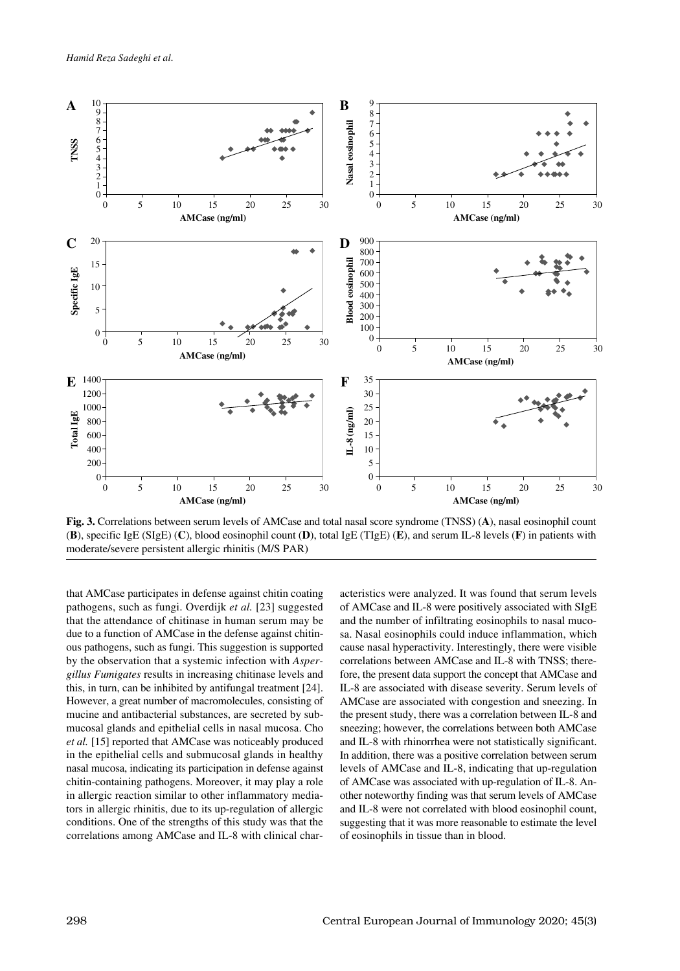

**Fig. 3.** Correlations between serum levels of AMCase and total nasal score syndrome (TNSS) (**A**), nasal eosinophil count (**B**), specific IgE (SIgE) (**C**), blood eosinophil count (**D**), total IgE (TIgE) (**E**), and serum IL-8 levels (**F**) in patients with moderate/severe persistent allergic rhinitis (M/S PAR)

that AMCase participates in defense against chitin coating pathogens, such as fungi. Overdijk *et al.* [23] suggested that the attendance of chitinase in human serum may be due to a function of AMCase in the defense against chitinous pathogens, such as fungi. This suggestion is supported by the observation that a systemic infection with *Aspergillus Fumigates* results in increasing chitinase levels and this, in turn, can be inhibited by antifungal treatment [24]. However, a great number of macromolecules, consisting of mucine and antibacterial substances, are secreted by submucosal glands and epithelial cells in nasal mucosa. Cho *et al.* [15] reported that AMCase was noticeably produced in the epithelial cells and submucosal glands in healthy nasal mucosa, indicating its participation in defense against chitin-containing pathogens. Moreover, it may play a role in allergic reaction similar to other inflammatory mediators in allergic rhinitis, due to its up-regulation of allergic conditions. One of the strengths of this study was that the correlations among AMCase and IL-8 with clinical characteristics were analyzed. It was found that serum levels of AMCase and IL-8 were positively associated with SIgE and the number of infiltrating eosinophils to nasal mucosa. Nasal eosinophils could induce inflammation, which cause nasal hyperactivity. Interestingly, there were visible correlations between AMCase and IL-8 with TNSS; therefore, the present data support the concept that AMCase and IL-8 are associated with disease severity. Serum levels of AMCase are associated with congestion and sneezing. In the present study, there was a correlation between IL-8 and sneezing; however, the correlations between both AMCase and IL-8 with rhinorrhea were not statistically significant. In addition, there was a positive correlation between serum levels of AMCase and IL-8, indicating that up-regulation of AMCase was associated with up-regulation of IL-8. Another noteworthy finding was that serum levels of AMCase and IL-8 were not correlated with blood eosinophil count, suggesting that it was more reasonable to estimate the level of eosinophils in tissue than in blood.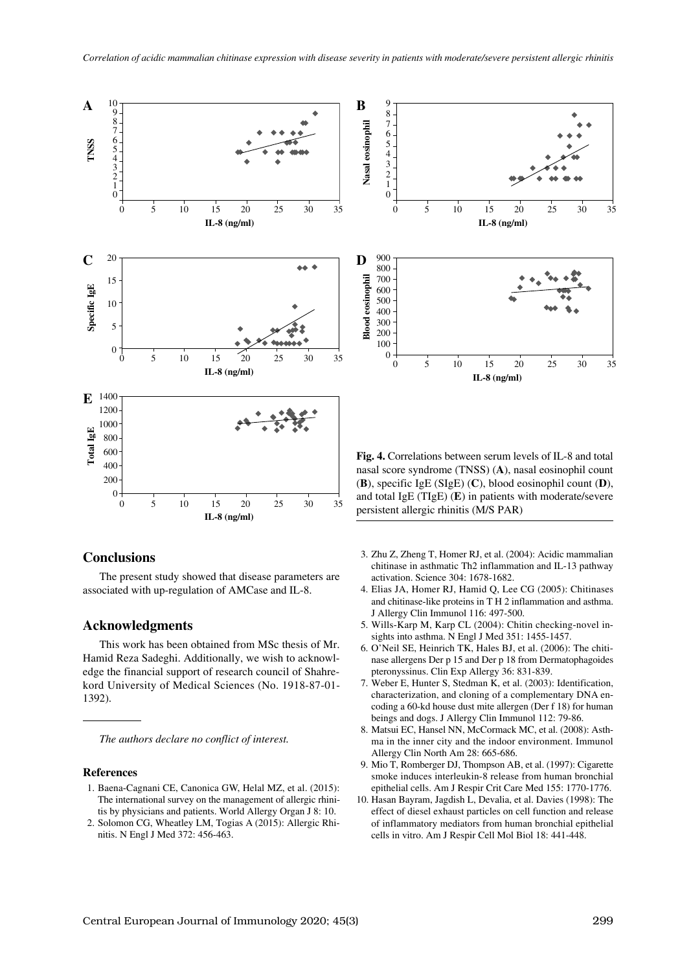



The present study showed that disease parameters are associated with up-regulation of AMCase and IL-8.

#### **Acknowledgments**

This work has been obtained from MSc thesis of Mr. Hamid Reza Sadeghi. Additionally, we wish to acknowledge the financial support of research council of Shahrekord University of Medical Sciences (No. 1918-87-01- 1392).

*The authors declare no conflict of interest.* 

#### **References**

- 1. Baena-Cagnani CE, Canonica GW, Helal MZ, et al. (2015): The international survey on the management of allergic rhinitis by physicians and patients. World Allergy Organ J 8: 10.
- 2. Solomon CG, Wheatley LM, Togias A (2015): Allergic Rhinitis. N Engl J Med 372: 456-463.



**Fig. 4.** Correlations between serum levels of IL-8 and total nasal score syndrome (TNSS) (**A**), nasal eosinophil count (**B**), specific IgE (SIgE) (**C**), blood eosinophil count (**D**), and total IgE (TIgE) (**E**) in patients with moderate/severe persistent allergic rhinitis (M/S PAR)

- 3. Zhu Z, Zheng T, Homer RJ, et al. (2004): Acidic mammalian chitinase in asthmatic Th2 inflammation and IL-13 pathway activation. Science 304: 1678-1682.
- 4. Elias JA, Homer RJ, Hamid Q, Lee CG (2005): Chitinases and chitinase-like proteins in T H 2 inflammation and asthma. J Allergy Clin Immunol 116: 497-500.
- 5. Wills-Karp M, Karp CL (2004): Chitin checking-novel insights into asthma. N Engl J Med 351: 1455-1457.
- 6. O'Neil SE, Heinrich TK, Hales BJ, et al. (2006): The chitinase allergens Der p 15 and Der p 18 from Dermatophagoides pteronyssinus. Clin Exp Allergy 36: 831-839.
- 7. Weber E, Hunter S, Stedman K, et al. (2003): Identification, characterization, and cloning of a complementary DNA encoding a 60-kd house dust mite allergen (Der f 18) for human beings and dogs. J Allergy Clin Immunol 112: 79-86.
- 8. Matsui EC, Hansel NN, McCormack MC, et al. (2008): Asthma in the inner city and the indoor environment. Immunol Allergy Clin North Am 28: 665-686.
- 9. Mio T, Romberger DJ, Thompson AB, et al. (1997): Cigarette smoke induces interleukin-8 release from human bronchial epithelial cells. Am J Respir Crit Care Med 155: 1770-1776.
- 10. Hasan Bayram, Jagdish L, Devalia, et al. Davies (1998): The effect of diesel exhaust particles on cell function and release of inflammatory mediators from human bronchial epithelial cells in vitro. Am J Respir Cell Mol Biol 18: 441-448.